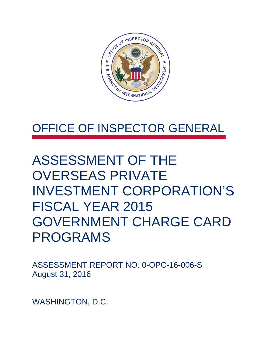

### OFFICE OF INSPECTOR GENERAL

### ASSESSMENT OF THE OVERSEAS PRIVATE INVESTMENT CORPORATION'S FISCAL YEAR 2015 GOVERNMENT CHARGE CARD PROGRAMS

ASSESSMENT REPORT NO. 0-OPC-16-006-S August 31, 2016

WASHINGTON, D.C.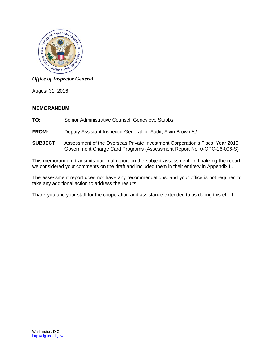

### *Office of Inspector General*

August 31, 2016

#### **MEMORANDUM**

- **TO:** Senior Administrative Counsel, Genevieve Stubbs
- **FROM:** Deputy Assistant Inspector General for Audit, Alvin Brown /s/
- **SUBJECT:** Assessment of the Overseas Private Investment Corporation's Fiscal Year 2015 Government Charge Card Programs (Assessment Report No. 0-OPC-16-006-S)

This memorandum transmits our final report on the subject assessment. In finalizing the report, we considered your comments on the draft and included them in their entirety in Appendix II.

The assessment report does not have any recommendations, and your office is not required to take any additional action to address the results.

Thank you and your staff for the cooperation and assistance extended to us during this effort.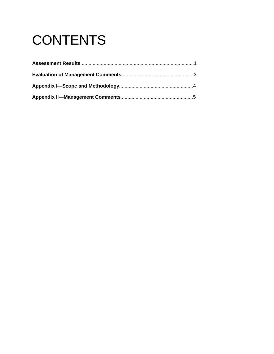# **CONTENTS**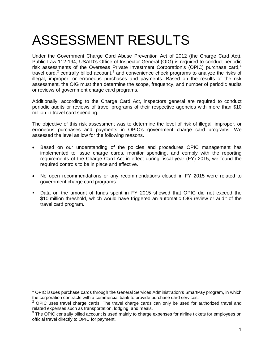## ASSESSMENT RESULTS

Under the Government Charge Card Abuse Prevention Act of 2012 (the Charge Card Act), Public Law 112-194, USAID's Office of Inspector General (OIG) is required to conduct periodic risk assessments of the Overseas Private Investment Corporation's (OPIC) purchase card,<sup>[1](#page-3-0)</sup> travel card,<sup>[2](#page-3-1)</sup> centrally billed account,<sup>[3](#page-3-2)</sup> and convenience check programs to analyze the risks of illegal, improper, or erroneous purchases and payments. Based on the results of the risk assessment, the OIG must then determine the scope, frequency, and number of periodic audits or reviews of government charge card programs.

Additionally, according to the Charge Card Act, inspectors general are required to conduct periodic audits or reviews of travel programs of their respective agencies with more than \$10 million in travel card spending.

The objective of this risk assessment was to determine the level of risk of illegal, improper, or erroneous purchases and payments in OPIC's government charge card programs. We assessed the level as low for the following reasons.

- Based on our understanding of the policies and procedures OPIC management has implemented to issue charge cards, monitor spending, and comply with the reporting requirements of the Charge Card Act in effect during fiscal year (FY) 2015, we found the required controls to be in place and effective.
- No open recommendations or any recommendations closed in FY 2015 were related to government charge card programs.
- Data on the amount of funds spent in FY 2015 showed that OPIC did not exceed the \$10 million threshold, which would have triggered an automatic OIG review or audit of the travel card program.

 $\overline{a}$ 

<span id="page-3-0"></span> $<sup>1</sup>$  OPIC issues purchase cards through the General Services Administration's SmartPay program, in which</sup> the corporation contracts with a commercial bank to provide purchase card services.

<span id="page-3-1"></span> $2$  OPIC uses travel charge cards. The travel charge cards can only be used for authorized travel and related expenses such as transportation, lodging, and meals.

<span id="page-3-2"></span> $3$  The OPIC centrally billed account is used mainly to charge expenses for airline tickets for employees on official travel directly to OPIC for payment.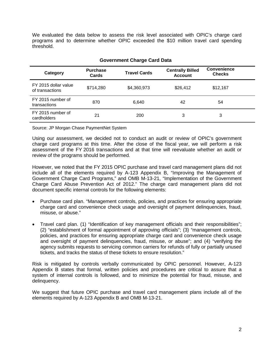We evaluated the data below to assess the risk level associated with OPIC's charge card programs and to determine whether OPIC exceeded the \$10 million travel card spending threshold.

| sovemmont onarge oard bata              |                          |                     |                                           |                                     |  |
|-----------------------------------------|--------------------------|---------------------|-------------------------------------------|-------------------------------------|--|
| Category                                | <b>Purchase</b><br>Cards | <b>Travel Cards</b> | <b>Centrally Billed</b><br><b>Account</b> | <b>Convenience</b><br><b>Checks</b> |  |
| FY 2015 dollar value<br>of transactions | \$714,280                | \$4,360,973         | \$26,412                                  | \$12,167                            |  |
| FY 2015 number of<br>transactions       | 870                      | 6,640               | 42                                        | 54                                  |  |
| FY 2015 number of<br>cardholders        | 21                       | 200                 | 3                                         | 3                                   |  |

#### **Government Charge Card Data**

Source: JP Morgan Chase PaymentNet System

Using our assessment, we decided not to conduct an audit or review of OPIC's government charge card programs at this time. After the close of the fiscal year, we will perform a risk assessment of the FY 2016 transactions and at that time will reevaluate whether an audit or review of the programs should be performed.

However, we noted that the FY 2015 OPIC purchase and travel card management plans did not include all of the elements required by A-123 Appendix B, "Improving the Management of Government Charge Card Programs," and OMB M-13-21, "Implementation of the Government Charge Card Abuse Prevention Act of 2012." The charge card management plans did not document specific internal controls for the following elements:

- Purchase card plan. "Management controls, policies, and practices for ensuring appropriate charge card and convenience check usage and oversight of payment delinquencies, fraud, misuse, or abuse."
- Travel card plan. (1) "Identification of key management officials and their responsibilities"; (2) "establishment of formal appointment of approving officials"; (3) "management controls, policies, and practices for ensuring appropriate charge card and convenience check usage and oversight of payment delinquencies, fraud, misuse, or abuse"; and (4) "verifying the agency submits requests to servicing common carriers for refunds of fully or partially unused tickets, and tracks the status of these tickets to ensure resolution."

Risk is mitigated by controls verbally communicated by OPIC personnel. However, A-123 Appendix B states that formal, written policies and procedures are critical to assure that a system of internal controls is followed, and to minimize the potential for fraud, misuse, and delinquency.

We suggest that future OPIC purchase and travel card management plans include all of the elements required by A-123 Appendix B and OMB M-13-21.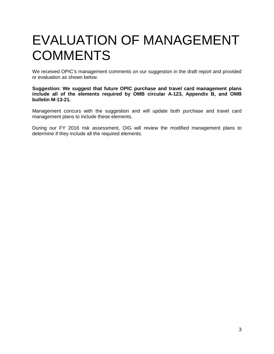### EVALUATION OF MANAGEMENT **COMMENTS**

We received OPIC's management comments on our suggestion in the draft report and provided or evaluation as shown below.

**Suggestion: We suggest that future OPIC purchase and travel card management plans include all of the elements required by OMB circular A-123, Appendix B, and OMB bulletin M-13-21.**

Management concurs with the suggestion and will update both purchase and travel card management plans to include these elements.

During our FY 2016 risk assessment, OIG will review the modified management plans to determine if they include all the required elements.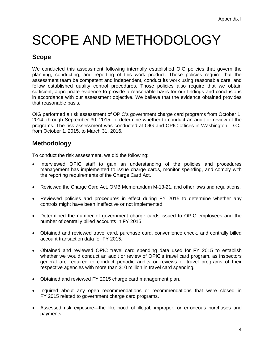## SCOPE AND METHODOLOGY

### **Scope**

We conducted this assessment following internally established OIG policies that govern the planning, conducting, and reporting of this work product. Those policies require that the assessment team be competent and independent, conduct its work using reasonable care, and follow established quality control procedures. Those policies also require that we obtain sufficient, appropriate evidence to provide a reasonable basis for our findings and conclusions in accordance with our assessment objective. We believe that the evidence obtained provides that reasonable basis.

OIG performed a risk assessment of OPIC's government charge card programs from October 1, 2014, through September 30, 2015, to determine whether to conduct an audit or review of the programs. The risk assessment was conducted at OIG and OPIC offices in Washington, D.C., from October 1, 2015, to March 31, 2016.

### **Methodology**

To conduct the risk assessment, we did the following:

- Interviewed OPIC staff to gain an understanding of the policies and procedures management has implemented to issue charge cards, monitor spending, and comply with the reporting requirements of the Charge Card Act.
- Reviewed the Charge Card Act, OMB Memorandum M-13-21, and other laws and regulations.
- Reviewed policies and procedures in effect during FY 2015 to determine whether any controls might have been ineffective or not implemented.
- Determined the number of government charge cards issued to OPIC employees and the number of centrally billed accounts in FY 2015.
- Obtained and reviewed travel card, purchase card, convenience check, and centrally billed account transaction data for FY 2015.
- Obtained and reviewed OPIC travel card spending data used for FY 2015 to establish whether we would conduct an audit or review of OPIC's travel card program, as inspectors general are required to conduct periodic audits or reviews of travel programs of their respective agencies with more than \$10 million in travel card spending.
- Obtained and reviewed FY 2015 charge card management plan.
- Inquired about any open recommendations or recommendations that were closed in FY 2015 related to government charge card programs.
- Assessed risk exposure—the likelihood of illegal, improper, or erroneous purchases and payments.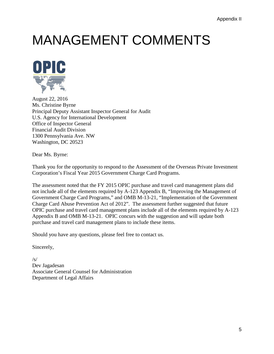## MANAGEMENT COMMENTS



August 22, 2016 Ms. Christine Byrne Principal Deputy Assistant Inspector General for Audit U.S. Agency for International Development Office of Inspector General Financial Audit Division 1300 Pennsylvania Ave. NW Washington, DC 20523

Dear Ms. Byrne:

Thank you for the opportunity to respond to the Assessment of the Overseas Private Investment Corporation's Fiscal Year 2015 Government Charge Card Programs.

The assessment noted that the FY 2015 OPIC purchase and travel card management plans did not include all of the elements required by A-123 Appendix B, "Improving the Management of Government Charge Card Programs," and OMB M-13-21, "Implementation of the Government Charge Card Abuse Prevention Act of 2012". The assessment further suggested that future OPIC purchase and travel card management plans include all of the elements required by A-123 Appendix B and OMB M-13-21. OPIC concurs with the suggestion and will update both purchase and travel card management plans to include these items.

Should you have any questions, please feel free to contact us.

Sincerely,

 $/s/$ Dev Jagadesan Associate General Counsel for Administration Department of Legal Affairs